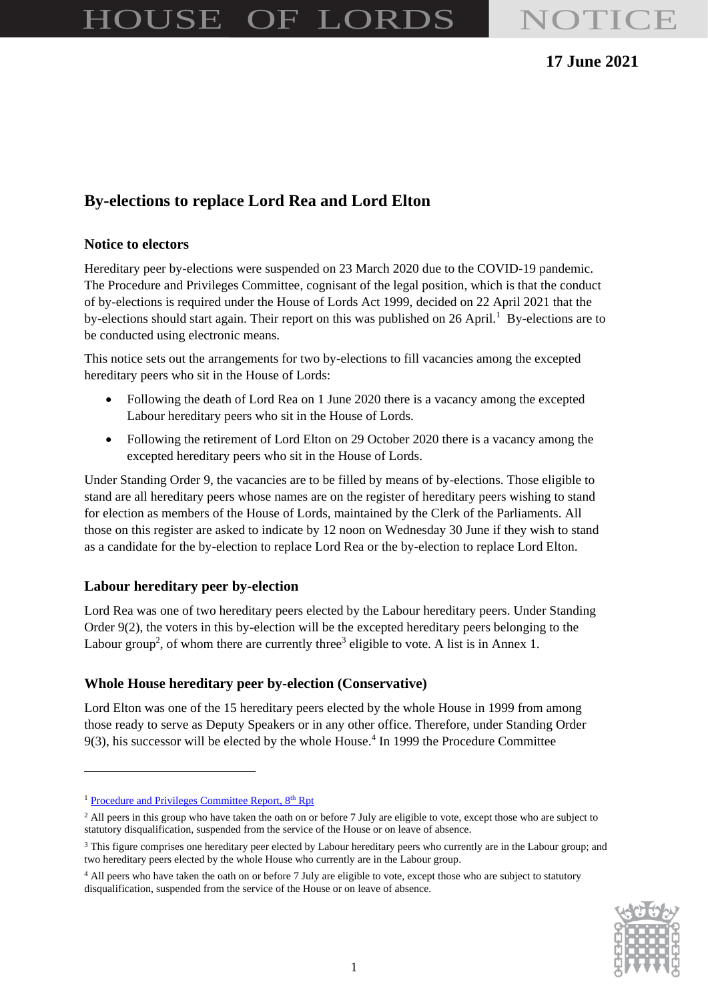# HOUSE OF LORDS NOTICE

# **17 June 2021**

# **By-elections to replace Lord Rea and Lord Elton**

#### **Notice to electors**

by-elections should start again. Their report on this was published on  $26$  April.<sup>1</sup> By-elections are to Hereditary peer by-elections were suspended on 23 March 2020 due to the COVID-19 pandemic. The Procedure and Privileges Committee, cognisant of the legal position, which is that the conduct of by-elections is required under the House of Lords Act 1999, decided on 22 April 2021 that the be conducted using electronic means.

This notice sets out the arrangements for two by-elections to fill vacancies among the excepted hereditary peers who sit in the House of Lords:

- Following the death of Lord Rea on 1 June 2020 there is a vacancy among the excepted Labour hereditary peers who sit in the House of Lords.
- Following the retirement of Lord Elton on 29 October 2020 there is a vacancy among the excepted hereditary peers who sit in the House of Lords.

Under Standing Order 9, the vacancies are to be filled by means of by-elections. Those eligible to stand are all hereditary peers whose names are on the register of hereditary peers wishing to stand for election as members of the House of Lords, maintained by the Clerk of the Parliaments. All those on this register are asked to indicate by 12 noon on Wednesday 30 June if they wish to stand as a candidate for the by-election to replace Lord Rea or the by-election to replace Lord Elton.

#### **Labour hereditary peer by-election**

Lord Rea was one of two hereditary peers elected by the Labour hereditary peers. Under Standing Order 9(2), the voters in this by-election will be the excepted hereditary peers belonging to the Labour group<sup>2</sup>, of whom there are currently three<sup>3</sup> eligible to vote. A list is in Annex 1.

#### **Whole House hereditary peer by-election (Conservative)**

Lord Elton was one of the 15 hereditary peers elected by the whole House in 1999 from among those ready to serve as Deputy Speakers or in any other office. Therefore, under Standing Order 9(3), his successor will be elected by the whole House. 4 In 1999 the Procedure Committee

<sup>&</sup>lt;sup>4</sup> All peers who have taken the oath on or before 7 July are eligible to vote, except those who are subject to statutory disqualification, suspended from the service of the House or on leave of absence.



<sup>&</sup>lt;sup>1</sup> [Procedure and Privileges Committee Report,](https://committees.parliament.uk/publications/2716/documents/55566/default/) 8<sup>th</sup> Rpt

<sup>&</sup>lt;sup>2</sup> All peers in this group who have taken the oath on or before 7 July are eligible to vote, except those who are subject to statutory disqualification, suspended from the service of the House or on leave of absence.

<sup>&</sup>lt;sup>3</sup> This figure comprises one hereditary peer elected by Labour hereditary peers who currently are in the Labour group; and two hereditary peers elected by the whole House who currently are in the Labour group.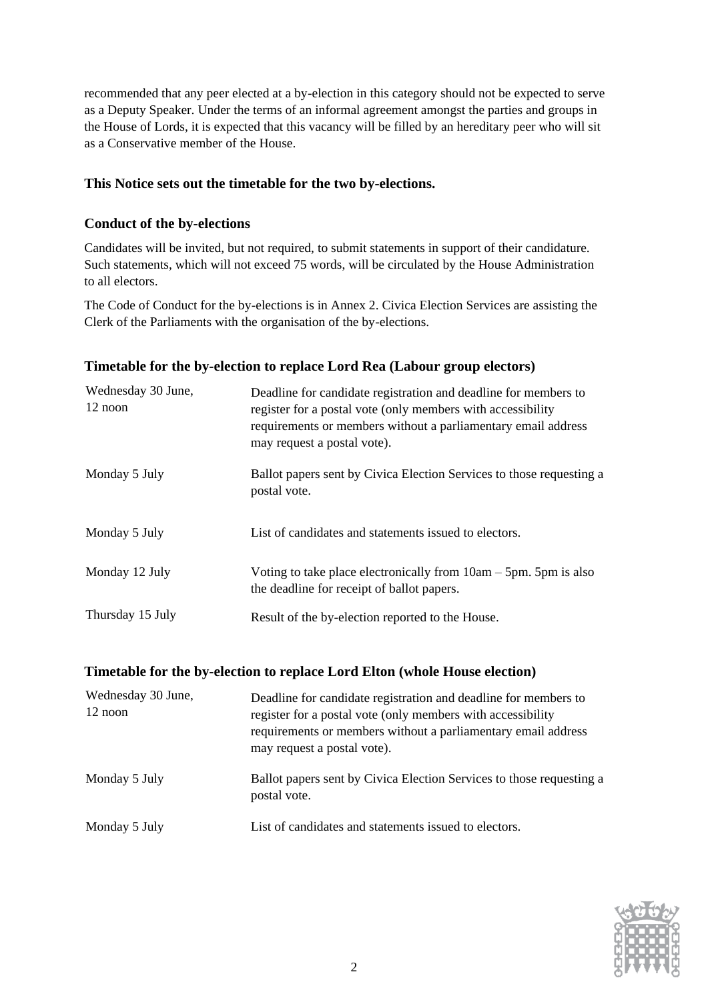recommended that any peer elected at a by-election in this category should not be expected to serve as a Deputy Speaker. Under the terms of an informal agreement amongst the parties and groups in the House of Lords, it is expected that this vacancy will be filled by an hereditary peer who will sit as a Conservative member of the House.

### **This Notice sets out the timetable for the two by-elections.**

## **Conduct of the by-elections**

Candidates will be invited, but not required, to submit statements in support of their candidature. Such statements, which will not exceed 75 words, will be circulated by the House Administration to all electors.

The Code of Conduct for the by-elections is in Annex 2. Civica Election Services are assisting the Clerk of the Parliaments with the organisation of the by-elections.

| Wednesday 30 June,<br>$12$ noon | Deadline for candidate registration and deadline for members to<br>register for a postal vote (only members with accessibility<br>requirements or members without a parliamentary email address<br>may request a postal vote). |
|---------------------------------|--------------------------------------------------------------------------------------------------------------------------------------------------------------------------------------------------------------------------------|
| Monday 5 July                   | Ballot papers sent by Civica Election Services to those requesting a<br>postal vote.                                                                                                                                           |
| Monday 5 July                   | List of candidates and statements issued to electors.                                                                                                                                                                          |
| Monday 12 July                  | Voting to take place electronically from $10am - 5pm$ . 5pm is also<br>the deadline for receipt of ballot papers.                                                                                                              |
| Thursday 15 July                | Result of the by-election reported to the House.                                                                                                                                                                               |

#### **Timetable for the by-election to replace Lord Rea (Labour group electors)**

| Timetable for the by-election to replace Lord Elton (whole House election) |  |  |  |
|----------------------------------------------------------------------------|--|--|--|
|                                                                            |  |  |  |

| Wednesday 30 June,<br>12 noon | Deadline for candidate registration and deadline for members to<br>register for a postal vote (only members with accessibility<br>requirements or members without a parliamentary email address<br>may request a postal vote). |  |
|-------------------------------|--------------------------------------------------------------------------------------------------------------------------------------------------------------------------------------------------------------------------------|--|
| Monday 5 July                 | Ballot papers sent by Civica Election Services to those requesting a<br>postal vote.                                                                                                                                           |  |
| Monday 5 July                 | List of candidates and statements issued to electors.                                                                                                                                                                          |  |

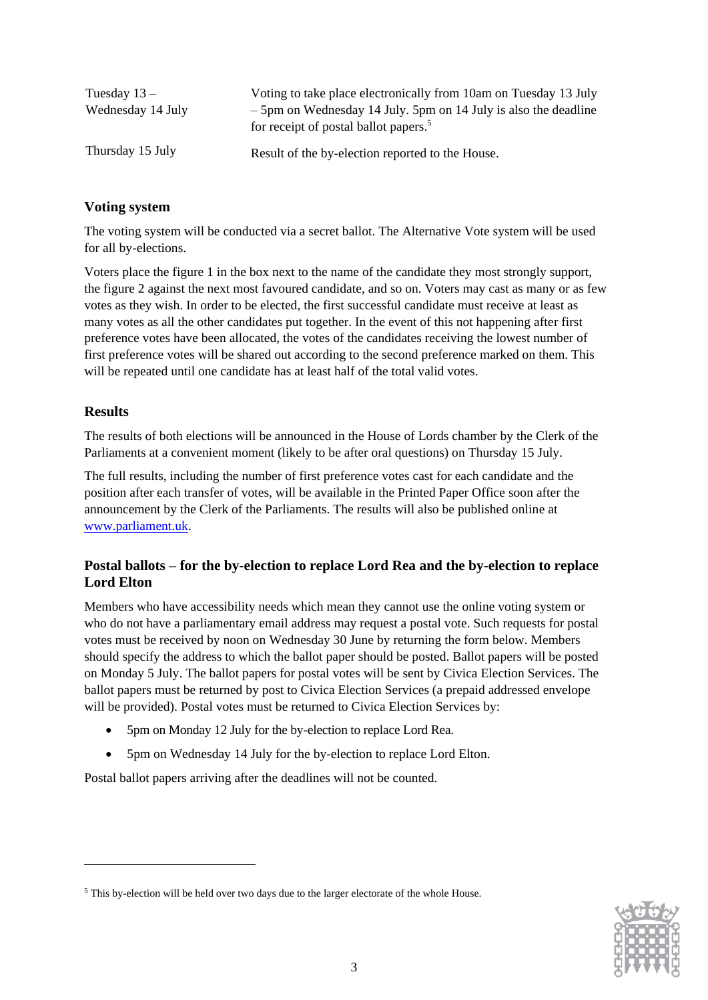| Tuesday $13 -$    | Voting to take place electronically from 10am on Tuesday 13 July                                                       |
|-------------------|------------------------------------------------------------------------------------------------------------------------|
| Wednesday 14 July | $-5$ pm on Wednesday 14 July. 5pm on 14 July is also the deadline<br>for receipt of postal ballot papers. <sup>5</sup> |
| Thursday 15 July  | Result of the by-election reported to the House.                                                                       |

## **Voting system**

The voting system will be conducted via a secret ballot. The Alternative Vote system will be used for all by-elections.

Voters place the figure 1 in the box next to the name of the candidate they most strongly support, the figure 2 against the next most favoured candidate, and so on. Voters may cast as many or as few votes as they wish. In order to be elected, the first successful candidate must receive at least as many votes as all the other candidates put together. In the event of this not happening after first preference votes have been allocated, the votes of the candidates receiving the lowest number of first preference votes will be shared out according to the second preference marked on them. This will be repeated until one candidate has at least half of the total valid votes.

#### **Results**

The results of both elections will be announced in the House of Lords chamber by the Clerk of the Parliaments at a convenient moment (likely to be after oral questions) on Thursday 15 July.

The full results, including the number of first preference votes cast for each candidate and the position after each transfer of votes, will be available in the Printed Paper Office soon after the announcement by the Clerk of the Parliaments. The results will also be published online at [www.parliament.uk.](http://www.parliament.uk/)

## **Postal ballots – for the by-election to replace Lord Rea and the by-election to replace Lord Elton**

Members who have accessibility needs which mean they cannot use the online voting system or who do not have a parliamentary email address may request a postal vote. Such requests for postal votes must be received by noon on Wednesday 30 June by returning the form below. Members should specify the address to which the ballot paper should be posted. Ballot papers will be posted on Monday 5 July. The ballot papers for postal votes will be sent by Civica Election Services. The ballot papers must be returned by post to Civica Election Services (a prepaid addressed envelope will be provided). Postal votes must be returned to Civica Election Services by:

- 5pm on Monday 12 July for the by-election to replace Lord Rea.
- 5pm on Wednesday 14 July for the by-election to replace Lord Elton.

Postal ballot papers arriving after the deadlines will not be counted.



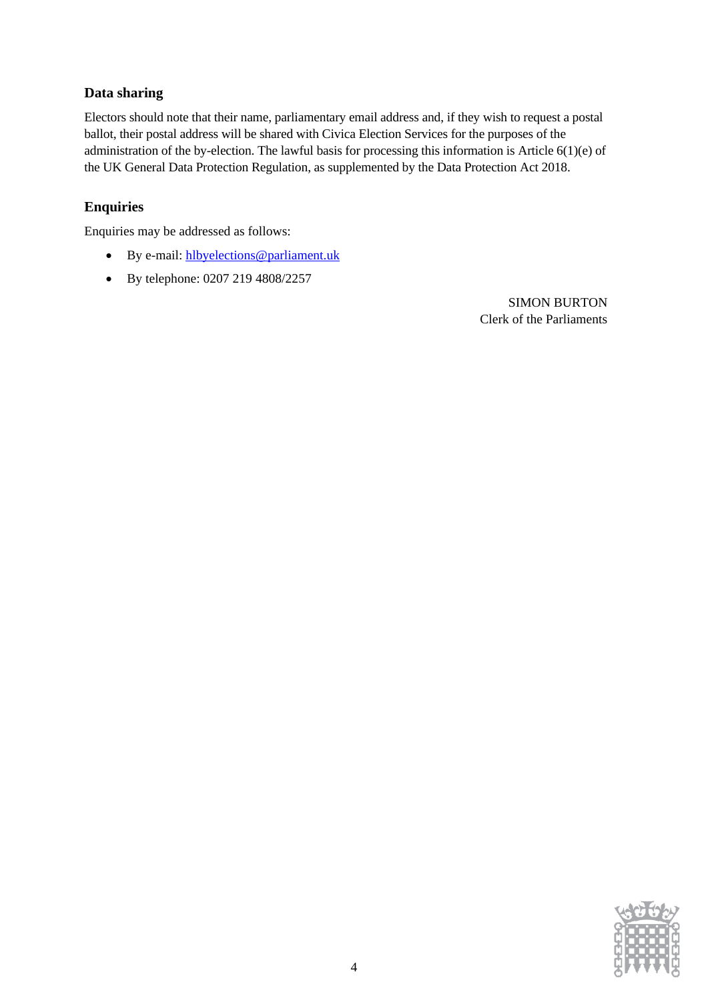# **Data sharing**

 Electors should note that their name, parliamentary email address and, if they wish to request a postal ballot, their postal address will be shared with Civica Election Services for the purposes of the administration of the by-election. The lawful basis for processing this information is Article 6(1)(e) of the UK General Data Protection Regulation, as supplemented by the Data Protection Act 2018.

# **Enquiries**

Enquiries may be addressed as follows:

- By e-mail: [hlbyelections@parliament.uk](mailto:hlbyelections@parliament.uk)
- By telephone: 0207 219 4808/2257

SIMON BURTON Clerk of the Parliaments

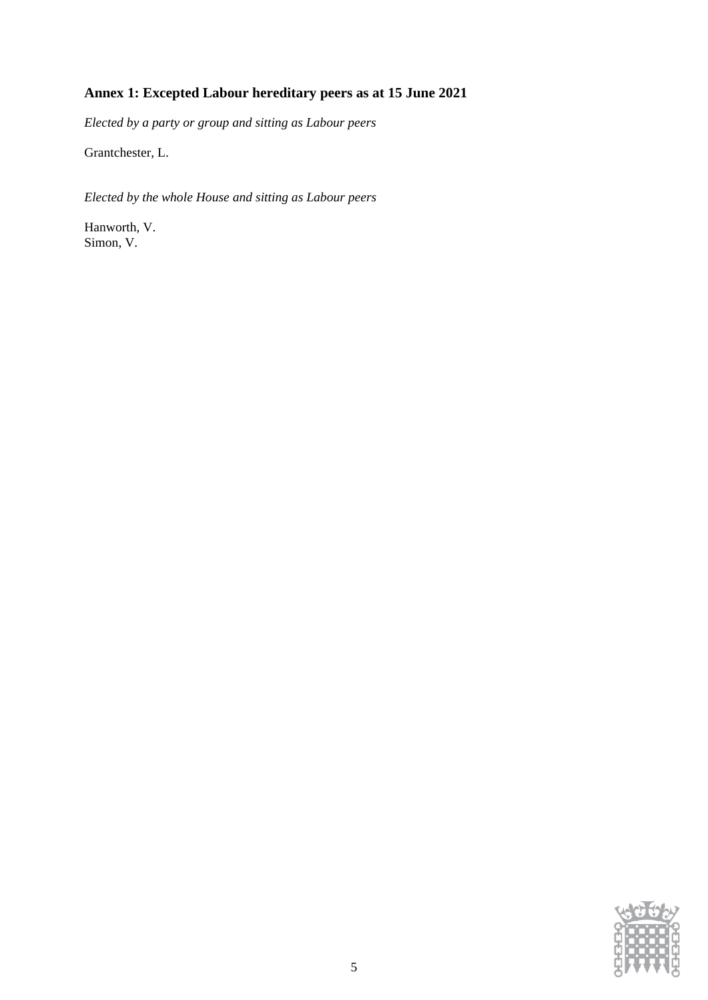# **Annex 1: Excepted Labour hereditary peers as at 15 June 2021**

*Elected by a party or group and sitting as Labour peers* 

Grantchester, L.

*Elected by the whole House and sitting as Labour peers* 

Hanworth, V. Simon, V.

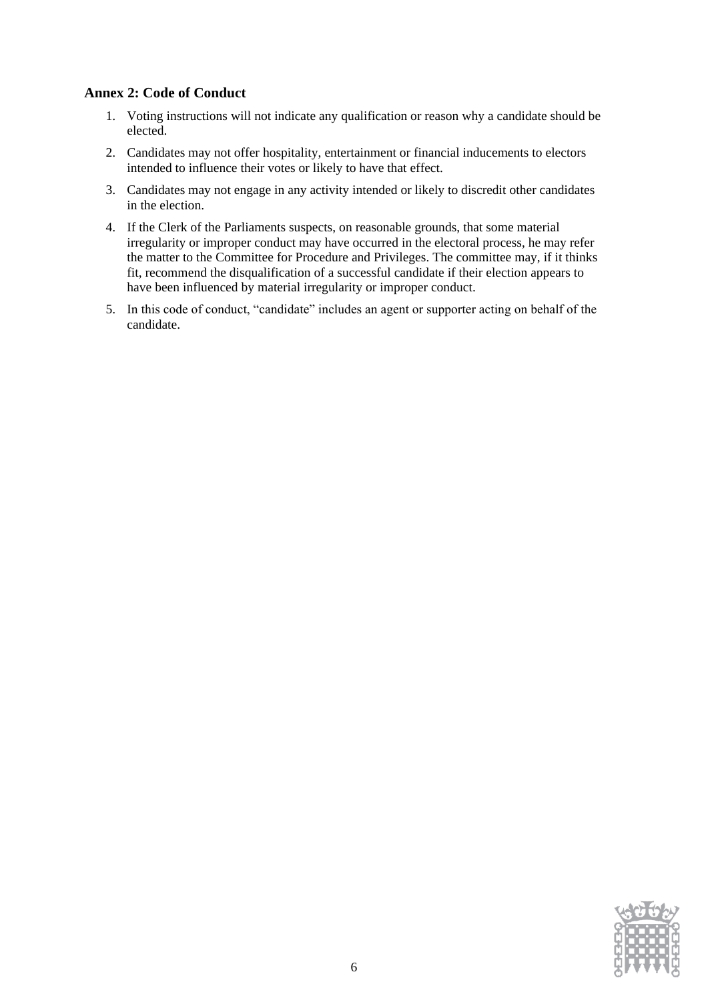### **Annex 2: Code of Conduct**

- 1. Voting instructions will not indicate any qualification or reason why a candidate should be elected.
- 2. Candidates may not offer hospitality, entertainment or financial inducements to electors intended to influence their votes or likely to have that effect.
- 3. Candidates may not engage in any activity intended or likely to discredit other candidates in the election.
- 4. If the Clerk of the Parliaments suspects, on reasonable grounds, that some material irregularity or improper conduct may have occurred in the electoral process, he may refer the matter to the Committee for Procedure and Privileges. The committee may, if it thinks fit, recommend the disqualification of a successful candidate if their election appears to have been influenced by material irregularity or improper conduct.
- 5. In this code of conduct, "candidate" includes an agent or supporter acting on behalf of the candidate.